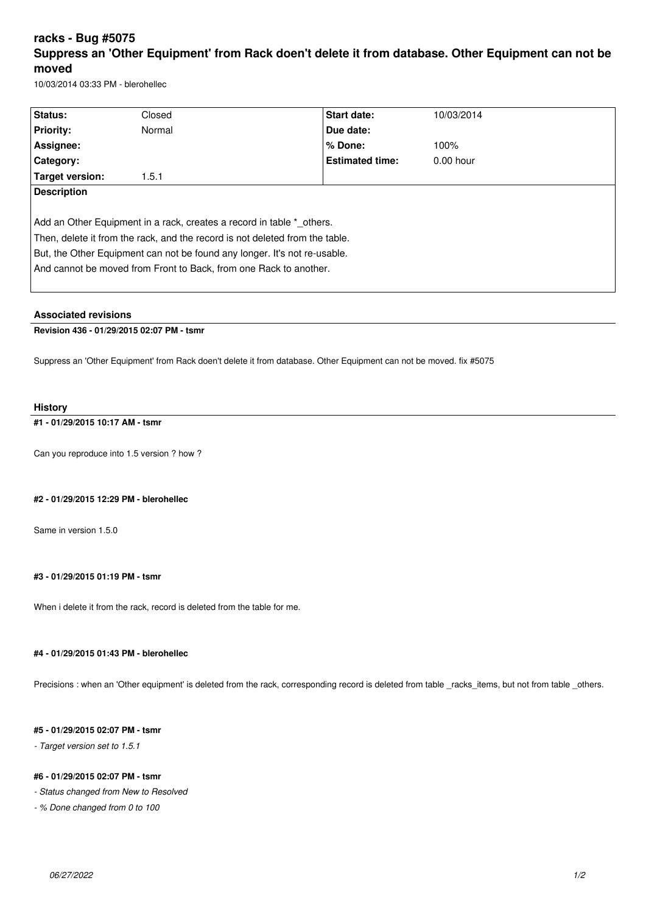# **racks - Bug #5075 Suppress an 'Other Equipment' from Rack doen't delete it from database. Other Equipment can not be moved**

10/03/2014 03:33 PM - blerohellec

| Status:                                                                      | Closed | <b>Start date:</b>     | 10/03/2014  |
|------------------------------------------------------------------------------|--------|------------------------|-------------|
|                                                                              |        |                        |             |
| <b>Priority:</b>                                                             | Normal | Due date:              |             |
| Assignee:                                                                    |        | % Done:                | 100%        |
| Category:                                                                    |        | <b>Estimated time:</b> | $0.00$ hour |
| Target version:                                                              | 1.5.1  |                        |             |
| <b>Description</b>                                                           |        |                        |             |
|                                                                              |        |                        |             |
| Add an Other Equipment in a rack, creates a record in table * others.        |        |                        |             |
| Then, delete it from the rack, and the record is not deleted from the table. |        |                        |             |
| But, the Other Equipment can not be found any longer. It's not re-usable.    |        |                        |             |
| And cannot be moved from Front to Back, from one Rack to another.            |        |                        |             |
|                                                                              |        |                        |             |

#### **Associated revisions**

## **Revision 436 - 01/29/2015 02:07 PM - tsmr**

Suppress an 'Other Equipment' from Rack doen't delete it from database. Other Equipment can not be moved. fix #5075

#### **History**

## **#1 - 01/29/2015 10:17 AM - tsmr**

Can you reproduce into 1.5 version ? how ?

#### **#2 - 01/29/2015 12:29 PM - blerohellec**

Same in version 1.5.0

#### **#3 - 01/29/2015 01:19 PM - tsmr**

When i delete it from the rack, record is deleted from the table for me.

## **#4 - 01/29/2015 01:43 PM - blerohellec**

Precisions : when an 'Other equipment' is deleted from the rack, corresponding record is deleted from table \_racks\_items, but not from table \_others.

## **#5 - 01/29/2015 02:07 PM - tsmr**

*- Target version set to 1.5.1*

### **#6 - 01/29/2015 02:07 PM - tsmr**

*- Status changed from New to Resolved*

*- % Done changed from 0 to 100*